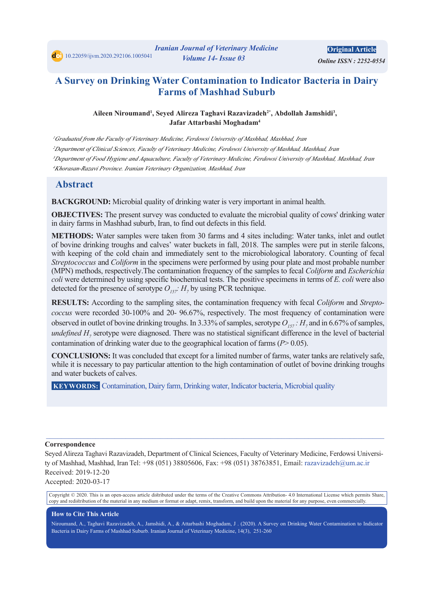# **A Survey on Drinking Water Contamination to Indicator Bacteria in Dairy Farms of Mashhad Suburb**

#### Aileen Niroumand<sup>1</sup>, Seyed Alireza Taghavi Razavizadeh<sup>2\*</sup>, Abdollah Jamshidi<sup>3</sup>, **Jafar Attarbashi Moghadam<sup>4</sup>**

<sup>1</sup>Graduated from the Faculty of Veterinary Medicine, Ferdowsi University of Mashhad, Mashhad, Iran *Iran ,Mashhad ,Mashhad of University Ferdowsi ,Medicine Veterinary of Faculty ,Sciences Clinical of Department<sup>2</sup>* <sup>3</sup>Department of Food Hygiene and Aquaculture, Faculty of Veterinary Medicine, Ferdowsi University of Mashhad, Mashhad, Iran <sup>4</sup>Khorasan-Razavi Province. Iranian Veterinary Organization, Mashhad, Iran

# **Abstract**

**BACKGROUND:** Microbial quality of drinking water is very important in animal health.

**OBJECTIVES:** The present survey was conducted to evaluate the microbial quality of cows' drinking water in dairy farms in Mashhad suburb, Iran, to find out defects in this field.

**METHODS:** Water samples were taken from 30 farms and 4 sites including: Water tanks, inlet and outlet of bovine drinking troughs and calves' water buckets in fall, 2018. The samples were put in sterile falcons, with keeping of the cold chain and immediately sent to the microbiological laboratory. Counting of fecal *Streptococcus* and *Coliform* in the specimens were performed by using pour plate and most probable number *(MPN)* methods, respectively. The contamination frequency of the samples to fecal *Coliform* and *Escherichia* coli were determined by using specific biochemical tests. The positive specimens in terms of *E*. coli were also detected for the presence of serotype  $O_{157}$ :  $H_7$  by using PCR technique.

coccus were recorded 30-100% and 20-96.67%, respectively. The most frequency of contamination were **RESULTS:** According to the sampling sites, the contamination frequency with fecal *Coliform* and *Strepto*observed in outlet of bovine drinking troughs. In 3.33% of samples, serotype  $O_{157}$ :  $H_7$  and in 6.67% of samples, undefined  $H$ <sub>7</sub> serotype were diagnosed. There was no statistical significant difference in the level of bacterial contamination of drinking water due to the geographical location of farms  $(P>0.05)$ .

**CONCLUSIONS:** It was concluded that except for a limited number of farms, water tanks are relatively safe, while it is necessary to pay particular attention to the high contamination of outlet of bovine drinking troughs and water buckets of calves.

**KEYWORDS:** Contamination, Dairy farm, Drinking water, Indicator bacteria, Microbial quality

#### **Correspondence**

Seyed Alireza Taghavi Razavizadeh, Department of Clinical Sciences, Faculty of Veterinary Medicine, Ferdowsi Universi-<br>ty of Mashhad, Mashhad, Iran Tel: +98 (051) 38805606, Fax: +98 (051) 38763851, Email: razavizadeh@um.ac Received: 2019-12-20

 $\_$  , and the state of the state of the state of the state of the state of the state of the state of the state of the state of the state of the state of the state of the state of the state of the state of the state of the

Accepted: 2020-03-17

Copyright © 2020. This is an open-access article distributed under the terms of the Creative Commons Attribution-4.0 International License which permits Share, copy and redistribution of the material in any medium or format or adapt, remix, transform, and build upon the material for any purpose, even commercially.

#### **How to Cite This Article**

Niroumand, A., Taghavi Razavizadeh, A., Jamshidi, A., & Attarbashi Moghadam, J. (2020). A Survey on Drinking Water Contamination to Indicator Bacteria in Dairy Farms of Mashhad Suburb. Iranian Journal of Veterinary Medicine, 14(3), 251-260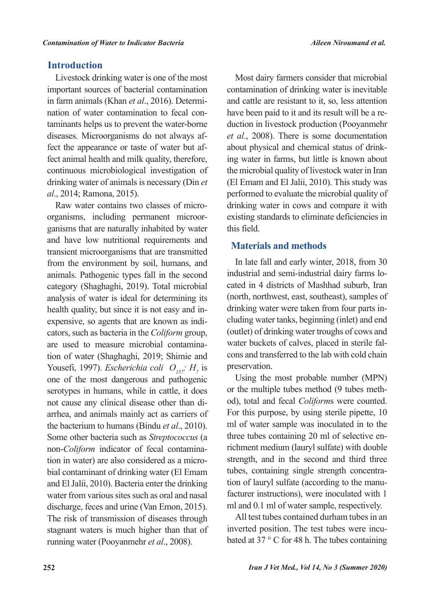# **Introduction**

Livestock drinking water is one of the most important sources of bacterial contamination taminants helps us to prevent the water-borne nation of water contamination to fecal conin farm animals (Khan et al., 2016). Determifect animal health and milk quality, therefore, fect the appearance or taste of water but afdiseases. Microorganisms do not always afcontinuous microbiological investigation of *drinking water of animals is necessary (Din et* al., 2014; Ramona, 2015).

ganisms that are naturally inhabited by water organisms, including permanent microor-Raw water contains two classes of microand have low nutritional requirements and transient microorganisms that are transmitted from the environment by soil, humans, and animals. Pathogenic types fall in the second category (Shaghaghi, 2019). Total microbial analysis of water is ideal for determining its cators, such as bacteria in the *Coliform* group, expensive, so agents that are known as indihealth quality, but since it is not easy and intion of water (Shaghaghi, 2019; Shimie and are used to measure microbial contamina-Yousefi, 1997). *Escherichia coli*  $O_{157}$ :  $H_7$  is one of the most dangerous and pathogenic serotypes in humans, while in cattle, it does arrhea, and animals mainly act as carriers of not cause any clinical disease other than dithe bacterium to humans (Bindu *et al.*, 2010). Some other bacteria such as Streptococcus (a bial contaminant of drinking water (El Emam tion in water) are also considered as a micronon-Coliform indicator of fecal contaminaand El Jalii, 2010). Bacteria enter the drinking water from various sites such as oral and nasal discharge, feces and urine (Van Emon, 2015). The risk of transmission of diseases through stagnant waters is much higher than that of running water (Pooyanmehr et al., 2008).

Most dairy farmers consider that microbial contamination of drinking water is inevitable and cattle are resistant to it, so, less attention duction in livestock production (Pooyanmehr have been paid to it and its result will be a reet al., 2008). There is some documentation ing water in farms, but little is known about about physical and chemical status of drinkthe microbial quality of livestock water in Iran (El Emam and El Jalii, 2010). This study was performed to evaluate the microbial quality of drinking water in cows and compare it with existing standards to eliminate deficiencies in this field

# **Materials and methods**

In late fall and early winter, 2018, from 30 cated in 4 districts of Mashhad suburb, Iran industrial and semi-industrial dairy farms lo-(north, northwest, east, southeast), samples of cluding water tanks, beginning (inlet) and end drinking water were taken from four parts in-(outlet) of drinking water troughs of cows and cons and transferred to the lab with cold chain water buckets of calves, placed in sterile falpreservation.

Using the most probable number (MPN) od), total and fecal *Coliform*s were counted. or the multiple tubes method (9 tubes meth-For this purpose, by using sterile pipette, 10 ml of water sample was inoculated in to the richment medium (lauryl sulfate) with double three tubes containing 20 ml of selective enstrength, and in the second and third three facturer instructions), were inoculated with 1 tion of lauryl sulfate (according to the manutubes, containing single strength concentraml and 0.1 ml of water sample, respectively.

All test tubes contained durham tubes in an bated at 37  $\degree$  C for 48 h. The tubes containing inverted position. The test tubes were incu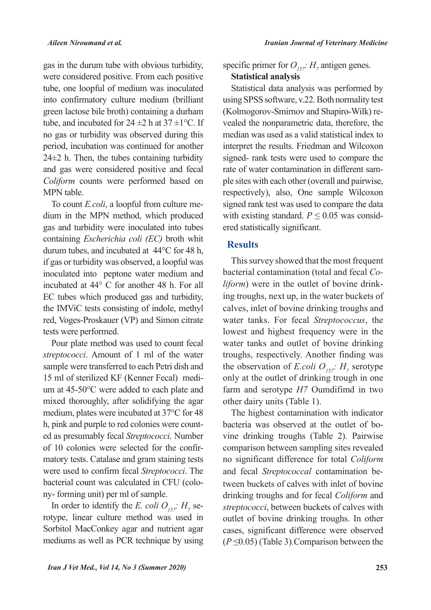gas in the durum tube with obvious turbidity, were considered positive. From each positive tube, one loopful of medium was inoculated into confirmatory culture medium (brilliant green lactose bile broth) containing a durham tube, and incubated for  $24 \pm 2$  h at  $37 \pm 1$  °C. If no gas or turbidity was observed during this period, incubation was continued for another  $24±2$  h. Then, the tubes containing turbidity and gas were considered positive and fecal Coliform counts were performed based on MPN table.

dium in the MPN method, which produced To count *E.coli*, a loopful from culture megas and turbidity were inoculated into tubes containing *Escherichia coli (EC)* broth whit durum tubes, and incubated at  $44^{\circ}$ C for 48 h, if gas or turbidity was observed, a loopful was inoculated into peptone water medium and incubated at  $44^{\circ}$  C for another 48 h. For all EC tubes which produced gas and turbidity, the IMViC tests consisting of indole, methyl red, Voges-Proskauer (VP) and Simon citrate tests were performed.

Pour plate method was used to count fecal streptococci. Amount of 1 ml of the water sample were transferred to each Petri dish and um at  $45-50^{\circ}$ C were added to each plate and 15 ml of sterilized KF (Kenner Fecal) medimixed thoroughly, after solidifying the agar medium, plates were incubated at 37°C for 48 ed as presumably fecal Streptococci. Number h, pink and purple to red colonies were countmatory tests. Catalase and gram staining tests of 10 colonies were selected for the confirwere used to confirm fecal Streptococci. The bacterial count was calculated in CFU (colo-<br>ny- forming unit) per ml of sample.

In order to identify the *E. coli*  $O_{157}$ *:*  $H_7$  serotype, linear culture method was used in Sorbitol MacConkey agar and nutrient agar mediums as well as PCR technique by using

specific primer for  $O_{157}$ :  $H_7$  antigen genes. **Statistical analysis** 

Statistical data analysis was performed by using SPSS software, v.22. Both normality test vealed the nonparametric data, therefore, the (Kolmogorov-Smirnov and Shapiro-Wilk) remedian was used as a valid statistical index to interpret the results. Friedman and Wilcoxon signed- rank tests were used to compare the ple sites with each other (overall and pairwise, rate of water contamination in different samrespectively), also, One sample Wilcoxon signed rank test was used to compare the data with existing standard.  $P \le 0.05$  was considered statistically significant.

### **Results**

This survey showed that the most frequent ing troughs, next up, in the water buckets of *liform*) were in the outlet of bovine drinkbacterial contamination (total and fecal *Co*calves, inlet of bovine drinking troughs and water tanks. For fecal Streptococcus, the lowest and highest frequency were in the water tanks and outlet of bovine drinking troughs, respectively. Another finding was the observation of *E.coli*  $O_{157}$ :  $H_7$  serotype only at the outlet of drinking trough in one farm and serotype  $H$ <sup>7</sup> Oumdifimd in two other dairy units (Table 1).

The highest contamination with indicator vine drinking troughs (Table 2). Pairwise bacteria was observed at the outlet of bocomparison between sampling sites revealed no significant difference for total *Coliform* tween buckets of calves with inlet of bovine and fecal *Streptococcal* contamination bedrinking troughs and for fecal *Coliform* and streptococci, between buckets of calves with outlet of bovine drinking troughs. In other cases, significant difference were observed  $(P \le 0.05)$  (Table 3). Comparison between the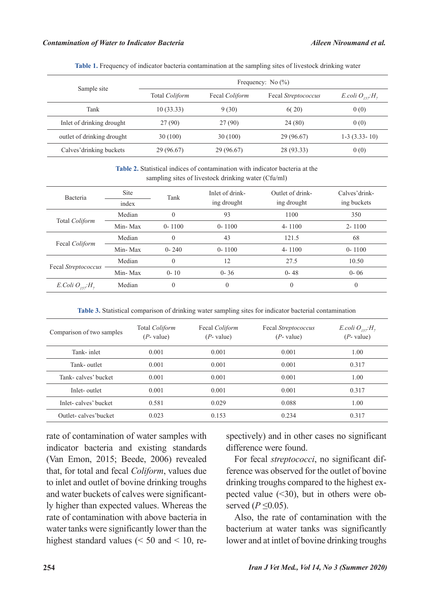|  |  |  |  |  |  | Table 1. Frequency of indicator bacteria contamination at the sampling sites of livestock drinking water |  |
|--|--|--|--|--|--|----------------------------------------------------------------------------------------------------------|--|
|--|--|--|--|--|--|----------------------------------------------------------------------------------------------------------|--|

|                            | Frequency: No $(\% )$ |                |                     |                     |  |  |
|----------------------------|-----------------------|----------------|---------------------|---------------------|--|--|
| Sample site                | Total <i>Coliform</i> | Fecal Coliform | Fecal Streptococcus | E.coli $O_{157}H_7$ |  |  |
| Tank                       | 10(33.33)             | 9(30)          | 6(20)               | 0(0)                |  |  |
| Inlet of drinking drought  | 27(90)                | 27(90)         | 24(80)              | 0(0)                |  |  |
| outlet of drinking drought | 30(100)               | 30(100)        | 29 (96.67)          | $1-3$ $(3.33-10)$   |  |  |
| Calves' drinking buckets   | 29 (96.67)            | 29 (96.67)     | 28 (93.33)          | 0(0)                |  |  |

Table 2. Statistical indices of contamination with indicator bacteria at the sampling sites of livestock drinking water (Cfu/ml)

| Bacteria            | Site<br>index | Tank       | Inlet of drink-<br>ing drought | Outlet of drink-<br>ing drought | Calves' drink-<br>ing buckets |  |
|---------------------|---------------|------------|--------------------------------|---------------------------------|-------------------------------|--|
|                     | Median        | $\Omega$   | 93                             | 1100                            |                               |  |
| Total Coliform      |               |            |                                |                                 | 350                           |  |
|                     | Min-Max       | $0 - 1100$ | $0 - 1100$                     | $4 - 1100$                      | $2 - 1100$                    |  |
| Fecal Coliform      | Median        | $\Omega$   | 43                             | 121.5                           | 68                            |  |
|                     | Min-Max       | $0 - 240$  | $0 - 1100$                     | $4 - 1100$                      | $0 - 1100$                    |  |
|                     | Median        | $\Omega$   | 12                             | 27.5                            | 10.50                         |  |
| Fecal Streptococcus | Min-Max       | $0 - 10$   | $0 - 36$                       | $0 - 48$                        | $0 - 06$                      |  |
| E.Coli $O_{157}H_7$ | Median        | $\Omega$   | $\theta$                       | $\theta$                        | $\overline{0}$                |  |

Table 3. Statistical comparison of drinking water sampling sites for indicator bacterial contamination

| Comparison of two samples | Total Coliform<br>$(P$ - value) | Fecal <i>Coliform</i><br>$(P$ - value) | Fecal Streptococcus<br>$(P$ - value) | E.coli $O_{157}H_7$<br>$(P$ - value) |
|---------------------------|---------------------------------|----------------------------------------|--------------------------------------|--------------------------------------|
| Tank-inlet                | 0.001                           | 0.001                                  | 0.001                                | 1.00                                 |
| Tank- outlet              | 0.001                           | 0.001                                  | 0.001                                | 0.317                                |
| Tank-calves' bucket       | 0.001                           | 0.001                                  | 0.001                                | 1.00                                 |
| Inlet-outlet              | 0.001                           | 0.001                                  | 0.001                                | 0.317                                |
| Inlet-calves' bucket      | 0.581                           | 0.029                                  | 0.088                                | 1.00                                 |
| Outlet-calves'bucket      | 0.023                           | 0.153                                  | 0.234                                | 0.317                                |

rate of contamination of water samples with indicator bacteria and existing standards (Van Emon, 2015; Beede, 2006) revealed that, for total and fecal Coliform, values due to inlet and outlet of bovine drinking troughs ly higher than expected values. Whereas the and water buckets of calves were significantrate of contamination with above bacteria in water tanks were significantly lower than the highest standard values ( $\leq 50$  and  $\leq 10$ , respectively) and in other cases no significant difference were found.

ference was observed for the outlet of bovine For fecal *streptococci*, no significant difpected value (<30), but in others were observed ( $P \le 0.05$ ). drinking troughs compared to the highest expected value  $(\leq 30)$ , but in others were obdrinking troughs compared to the highest ex-

Also, the rate of contamination with the bacterium at water tanks was significantly lower and at intlet of bovine drinking troughs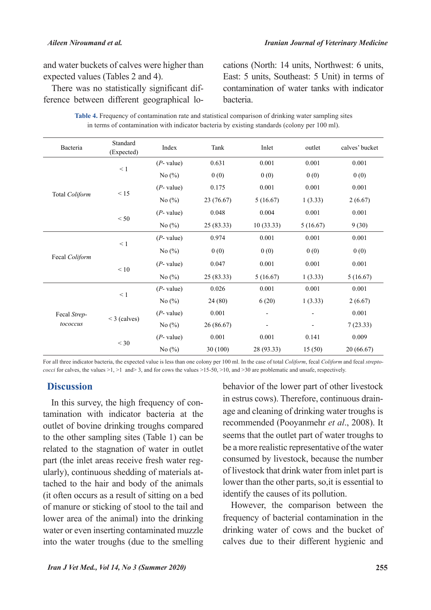and water buckets of calves were higher than expected values (Tables 2 and 4).

There was no statistically significant difference between different geographical lo-There was no statistically significant difcations (North: 14 units, Northwest: 6 units, East: 5 units, Southeast: 5 Unit) in terms of contamination of water tanks with indicator .bacteria

| Table 4. Frequency of contamination rate and statistical comparison of drinking water sampling sites |
|------------------------------------------------------------------------------------------------------|
| in terms of contamination with indicator bacteria by existing standards (colony per 100 ml).         |

| Bacteria       | Standard<br>(Expected) | Index         | Tank       | Inlet      | outlet   | calves' bucket |
|----------------|------------------------|---------------|------------|------------|----------|----------------|
|                | $\leq 1$               | $(P$ - value) | 0.631      | 0.001      | 0.001    | 0.001          |
|                |                        | No $(\%)$     | 0(0)       | 0(0)       | 0(0)     | 0(0)           |
|                | < 15                   | $(P$ - value) | 0.175      | 0.001      | 0.001    | 0.001          |
| Total Coliform |                        | No $(\%)$     | 23 (76.67) | 5(16.67)   | 1(3.33)  | 2(6.67)        |
|                | < 50                   | $(P$ - value) | 0.048      | 0.004      | 0.001    | 0.001          |
|                |                        | No $(\%)$     | 25(83.33)  | 10(33.33)  | 5(16.67) | 9(30)          |
|                | $\leq 1$<br>$<10\,$    | $(P$ - value) | 0.974      | 0.001      | 0.001    | 0.001          |
|                |                        | No $(\%)$     | 0(0)       | 0(0)       | 0(0)     | 0(0)           |
| Fecal Coliform |                        | $(P$ - value) | 0.047      | 0.001      | 0.001    | 0.001          |
|                |                        | No $(\%)$     | 25(83.33)  | 5(16.67)   | 1(3.33)  | 5(16.67)       |
|                | $\leq 1$               | $(P$ - value) | 0.026      | 0.001      | 0.001    | 0.001          |
|                |                        | No $(\%)$     | 24 (80)    | 6(20)      | 1(3.33)  | 2(6.67)        |
| Fecal Strep-   |                        | $(P$ - value) | 0.001      |            |          | 0.001          |
| tococcus       | $<$ 3 (calves)         | No $(\%)$     | 26 (86.67) |            |          | 7(23.33)       |
|                | $<$ 30                 | $(P$ - value) | 0.001      | 0.001      | 0.141    | 0.009          |
|                |                        | No $(\%)$     | 30 (100)   | 28 (93.33) | 15(50)   | 20 (66.67)     |

*cocci* for calves, the values  $>1$ ,  $>1$  and  $>3$ , and for cows the values  $>15-50$ ,  $>10$ , and  $>30$  are problematic and unsafe, respectively. For all three indicator bacteria, the expected value is less than one colony per 100 ml. In the case of total *Coliform*, fecal *Coliform* and fecal *strepto*-

# **Discussion**

tamination with indicator bacteria at the In this survey, the high frequency of conoutlet of bovine drinking troughs compared to the other sampling sites (Table 1) can be related to the stagnation of water in outlet tached to the hair and body of the animals ularly), continuous shedding of materials atpart (the inlet areas receive fresh water reg- $\delta$  (it often occurs as a result of sitting on a bed of manure or sticking of stool to the tail and lower area of the animal) into the drinking water or even inserting contaminated muzzle into the water troughs (due to the smelling behavior of the lower part of other livestock age and cleaning of drinking water troughs is in estrus cows). Therefore, continuous drainrecommended (Pooyanmehr et al., 2008). It seems that the outlet part of water troughs to be a more realistic representative of the water consumed by livestock, because the number of livestock that drink water from inlet part is lower than the other parts, so, it is essential to identify the causes of its pollution.

However, the comparison between the frequency of bacterial contamination in the drinking water of cows and the bucket of calves due to their different hygienic and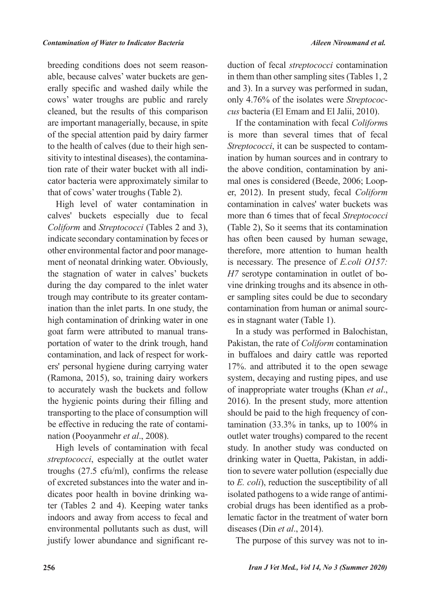erally specific and washed daily while the able, because calves' water buckets are genbreeding conditions does not seem reasoncows' water troughs are public and rarely cleaned, but the results of this comparison are important managerially, because, in spite of the special attention paid by dairy farmer cator bacteria were approximately similar to tion rate of their water bucket with all indisitivity to intestinal diseases), the contaminato the health of calves (due to their high senthat of cows' water troughs (Table 2).

High level of water contamination in calves' buckets especially due to fecal Coliform and Streptococci (Tables 2 and 3), indicate secondary contamination by feces or ment of neonatal drinking water. Obviously, other environmental factor and poor managethe stagnation of water in calves' buckets during the day compared to the inlet water ination than the inlet parts. In one study, the trough may contribute to its greater contamhigh contamination of drinking water in one portation of water to the drink trough, hand goat farm were attributed to manual transers' personal hygiene during carrying water contamination, and lack of respect for work-(Ramona, 2015), so, training dairy workers to accurately wash the buckets and follow the hygienic points during their filling and transporting to the place of consumption will be effective in reducing the rate of contamination (Pooyanmehr *et al.*, 2008).

High levels of contamination with fecal streptococci, especially at the outlet water troughs  $(27.5 \text{ cftv/ml})$ , confirms the release ter (Tables 2 and 4). Keeping water tanks dicates poor health in bovine drinking waof excreted substances into the water and inindoors and away from access to fecal and environmental pollutants such as dust, will justify lower abundance and significant re-

duction of fecal *streptococci* contamination in them than other sampling sites (Tables  $1, 2$ ) and 3). In a survey was performed in sudan, cus bacteria (El Emam and El Jalii, 2010). only 4.76% of the isolates were *Streptococ-*

If the contamination with fecal *Coliforms* is more than several times that of fecal ination by human sources and in contrary to Streptococci, it can be suspected to contamer, 2012). In present study, fecal *Coliform* mal ones is considered (Beede, 2006; Loopthe above condition, contamination by anicontamination in calves' water buckets was more than 6 times that of fecal Streptococci (Table 2), So it seems that its contamination has often been caused by human sewage, therefore, more attention to human health *is necessary. The presence of <i>E.coli O157*: er sampling sites could be due to secondary vine drinking troughs and its absence in oth-*H*7 serotype contamination in outlet of bocontamination from human or animal sources in stagnant water (Table 1).

In a study was performed in Balochistan, Pakistan, the rate of *Coliform* contamination in buffaloes and dairy cattle was reported 17%. and attributed it to the open sewage system, decaying and rusting pipes, and use of inappropriate water troughs (Khan et al.,  $2016$ . In the present study, more attention tamination  $(33.3\%$  in tanks, up to  $100\%$  in should be paid to the high frequency of conoutlet water troughs) compared to the recent study. In another study was conducted on tion to severe water pollution (especially due drinking water in Quetta, Pakistan, in addito *E. coli*), reduction the susceptibility of all lematic factor in the treatment of water born crobial drugs has been identified as a probisolated pathogens to a wide range of antimidiseases (Din *et al.*, 2014).

The purpose of this survey was not to in-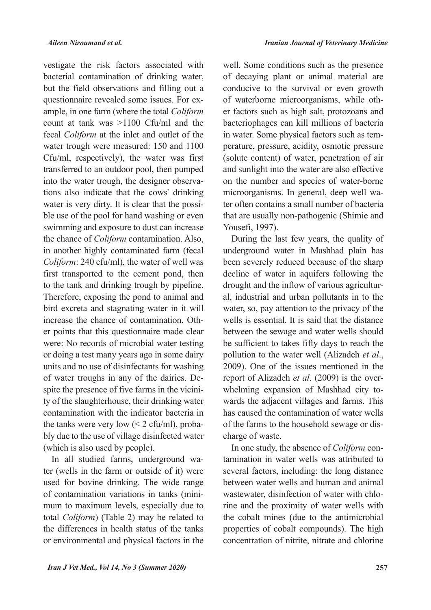vestigate the risk factors associated with bacterial contamination of drinking water, but the field observations and filling out a ample, in one farm (where the total Coliform questionnaire revealed some issues. For excount at tank was  $>1100$  Cfu/ml and the fecal *Coliform* at the inlet and outlet of the water trough were measured: 150 and 1100 Cfu/ml, respectively), the water was first transferred to an outdoor pool, then pumped tions also indicate that the cows' drinking into the water trough, the designer observable use of the pool for hand washing or even water is very dirty. It is clear that the possiswimming and exposure to dust can increase the chance of *Coliform* contamination. Also, in another highly contaminated farm (fecal Coliform: 240 cfu/ml), the water of well was first transported to the cement pond, then to the tank and drinking trough by pipeline. Therefore, exposing the pond to animal and bird excreta and stagnating water in it will er points that this questionnaire made clear increase the chance of contamination. Othwere: No records of microbial water testing or doing a test many years ago in some dairy units and no use of disinfectants for washing ty of the slaughterhouse, their drinking water spite the presence of five farms in the viciniof water troughs in any of the dairies. Decontamination with the indicator bacteria in bly due to the use of village disinfected water the tanks were very low  $(< 2 \text{ cfu/ml})$ , proba-(which is also used by people).

ter (wells in the farm or outside of it) were In all studied farms, underground waused for bovine drinking. The wide range mum to maximum levels, especially due to of contamination variations in tanks (minitotal *Coliform*) (Table 2) may be related to the differences in health status of the tanks or environmental and physical factors in the well. Some conditions such as the presence of decaying plant or animal material are conducive to the survival or even growth er factors such as high salt, protozoans and of waterborne microorganisms, while othbacteriophages can kill millions of bacteria perature, pressure, acidity, osmotic pressure in water. Some physical factors such as tem-(solute content) of water, penetration of air and sunlight into the water are also effective on the number and species of water-borne ter often contains a small number of bacteria microorganisms. In general, deep well wathat are usually non-pathogenic (Shimie and Yousefi, 1997).

During the last few years, the quality of underground water in Mashhad plain has been severely reduced because of the sharp decline of water in aquifers following the al, industrial and urban pollutants in to the drought and the inflow of various agriculturwater, so, pay attention to the privacy of the wells is essential. It is said that the distance between the sewage and water wells should be sufficient to takes fifty days to reach the pollution to the water well (Alizadeh et al., 2009). One of the issues mentioned in the wards the adjacent villages and farms. This whelming expansion of Mashhad city toreport of Alizadeh *et al.* (2009) is the overhas caused the contamination of water wells of the farms to the household sewage or discharge of waste.

tamination in water wells was attributed to In one study, the absence of *Coliform* conseveral factors, including: the long distance between water wells and human and animal rine and the proximity of water wells with wastewater, disinfection of water with chlothe cobalt mines (due to the antimicrobial properties of cobalt compounds). The high concentration of nitrite, nitrate and chlorine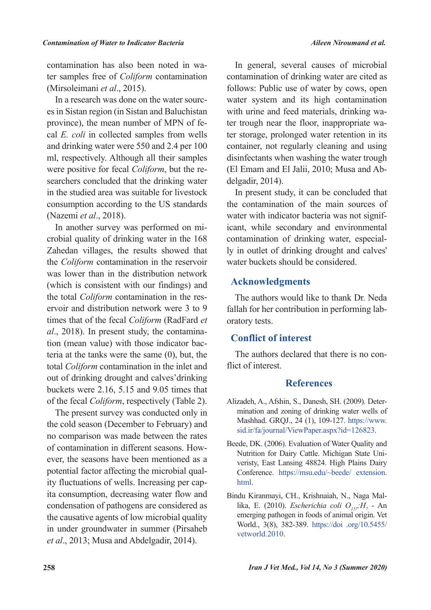ter samples free of *Coliform* contamination contamination has also been noted in wa-(Mirsoleimani et al., 2015).

es in Sistan region (in Sistan and Baluchistan In a research was done on the water sourccal *E. coli* in collected samples from wells province), the mean number of MPN of feand drinking water were 550 and 2.4 per 100 ml, respectively. Although all their samples searchers concluded that the drinking water were positive for fecal *Coliform*, but the rein the studied area was suitable for livestock consumption according to the US standards (Nazemi et al., 2018).

crobial quality of drinking water in the 168 In another survey was performed on mi-Zahedan villages, the results showed that the *Coliform* contamination in the reservoir was lower than in the distribution network (which is consistent with our findings) and ervoir and distribution network were  $3$  to  $9$ the total *Coliform* contamination in the restimes that of the fecal *Coliform* (RadFard et teria at the tanks were the same  $(0)$ , but, the tion (mean value) with those indicator bacal., 2018). In present study, the contaminatotal Coliform contamination in the inlet and out of drinking drought and calves' drinking buckets were  $2.16$ ,  $5.15$  and  $9.05$  times that of the fecal *Coliform*, respectively (Table 2).

The present survey was conducted only in the cold season (December to February) and no comparison was made between the rates ever, the seasons have been mentioned as a of contamination in different seasons. Howita consumption, decreasing water flow and ity fluctuations of wells. Increasing per cappotential factor affecting the microbial qualcondensation of pathogens are considered as the causative agents of low microbial quality in under groundwater in summer (Pirsaheb *et al.*, 2013; Musa and Abdelgadir, 2014).

In general, several causes of microbial contamination of drinking water are cited as follows: Public use of water by cows, open water system and its high contamination ter storage, prolonged water retention in its ter trough near the floor, inappropriate wawith urine and feed materials, drinking wacontainer, not regularly cleaning and using disinfectants when washing the water trough (El Emam and El Jalii, 2010; Musa and Ab-<br>delgadir, 2014).

In present study, it can be concluded that the contamination of the main sources of icant, while secondary and environmental water with indicator bacteria was not signifly in outlet of drinking drought and calves' contamination of drinking water, especialwater buckets should be considered.

## **Acknowledgments**

The authors would like to thank Dr. Neda fallah for her contribution in performing laboratory tests.

## **Conflict of interest**

The authors declared that there is no conflict of interest.

#### **References**

- mination and zoning of drinking water wells of Alizadeh, A., Afshin, S., Danesh, SH. (2009). Deter-Mashhad. GRQJ., 24 (1), 109-127. https://www. sid.ir/fa/journal/ViewPaper.aspx?id=126823.
- Beede, DK. (2006). Evaluation of Water Quality and veristy, East Lansing 48824. High Plains Dairy Nutrition for Dairy Cattle. Michigan State Uni-Conference. https://msu.edu/~beede/ extension. .html
- du Kiranmayi, CH., Krishnaiah, N., Naga Mal-<br>lika, E. (2010). *Escherichia coli O<sub>157</sub>:H<sub>7</sub> An* Bindu Kiranmayi, CH., Krishnaiah, N., Naga Malemerging pathogen in foods of animal origin. Vet World., 3(8), 382-389. https://doi.org/10.5455/ vetworld.2010.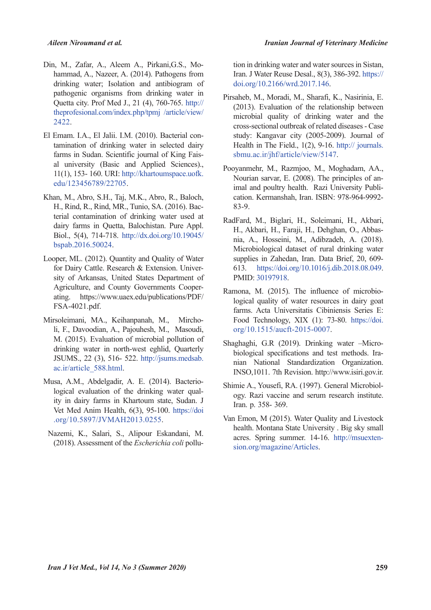- hammad, A., Nazeer, A. (2014). Pathogens from Din, M., Zafar, A., Aleem A., Pirkani, G.S., Modrinking water; Isolation and antibiogram of pathogenic organisms from drinking water in Quetta city. Prof Med J., 21 (4), 760-765. http:// theprofesional.com/index.php/tpmj /article/view/ 2422.
- tamination of drinking water in selected dairy El Emam. I.A., El Jalii. I.M. (2010). Bacterial conal university (Basic and Applied Sciences)., farms in Sudan. Scientific journal of King Fais-11(1), 153- 160. URI: http://khartoumspace.uofk. edu/123456789/22705.
- Khan, M., Abro, S.H., Taj, M.K., Abro, R., Baloch, terial contamination of drinking water used at H., Rind, R., Rind, MR., Tunio, SA. (2016). Bacdairy farms in Quetta, Balochistan. Pure Appl. Biol., 5(4), 714-718. http://dx.doi.org/10.19045/ bspab.2016.50024.
- Looper, ML. (2012). Quantity and Quality of Water sity of Arkansas, United States Department of for Dairy Cattle. Research & Extension. Univerating. https://www.uaex.edu/publications/PDF/ Agriculture, and County Governments Cooper-FSA-4021.pdf.
- li, F., Davoodian, A., Pajouhesh, M., Masoudi, Mirsoleimani, MA., Keihanpanah, M., Mircho-M. (2015). Evaluation of microbial pollution of drinking water in north-west eghlid, Quarterly JSUMS., 22 (3), 516- 522. http://jsums.medsab. ac.ir/article 588.html.
- logical evaluation of the drinking water quality in dairy farms in Khartoum state, Sudan. J sa, A.M., Abdelgadir, A. E. (2014). Bacterio-logical evaluation of the drinking water qual-Musa, A.M., Abdelgadir, A. E. (2014). Bacterio-Vet Med Anim Health, 6(3), 95-100. https://doi .org/10.5897/JVMAH2013.0255.
- Nazemi, K., Salari, S., Alipour Eskandani, M. (2018). Assessment of the *Escherichia coli* pollu-

tion in drinking water and water sources in Sistan, Iran. J Water Reuse Desal., 8(3), 386-392. https:// doi.org/10.2166/wrd.2017.146.

- Pirsaheb, M., Moradi, M., Sharafi, K., Nasirinia, E.  $(2013)$ . Evaluation of the relationship between microbial quality of drinking water and the cross-sectional outbreak of related diseases - Case study: Kangavar city (2005-2009). Journal of Health in The Field.,  $1(2)$ , 9-16. http:// journals. sbmu.ac.ir/jhf/article/view/5147.
- Pooyanmehr, M., Razmjoo, M., Moghadam, AA., imal and poultry health. Razi University Publi-<br>cation. Kermanshah, Iran. ISBN: 978-964-9992-Nourian sarvar, E. (2008). The principles of an-<br>imal and poultry health. Razi University Publi-Nourian sarvar, E. (2008). The principles of an-83-9.
- RadFard, M., Biglari, H., Soleimani, H., Akbari, nia, A., Hosseini, M., Adibzadeh, A. (2018). H., Akbari, H., Faraji, H., Dehghan, O., Abbas-Microbiological dataset of rural drinking water supplies in Zahedan, Iran, Data Brief, 20, 609-613. https://doi.org/10.1016/i.dib.2018.08.049. PMID: 30197918.
- Ramona, M. (2015). The influence of microbio-<br>logical quality of water resources in dairy goat farms. Acta Universitatis Cibiniensis Series E: Food Technology, XIX (1): 73-80. https://doi. org/10.1515/aucft-2015-0007.
- nian National Standardization Organization. biological specifications and test methods. Ira-Shaghaghi, G.R. (2019). Drinking water -Micro-INSO, 1011. 7th Revision. http://www.isiri.gov.ir.
- ogy. Razi vaccine and serum research institute. Shimie A., Yousefi, RA. (1997). General Microbiol-Iran. p. 358- 369.
- Van Emon, M (2015). Water Quality and Livestock health. Montana State University . Big sky small acres. Spring summer. 14-16. http://msuexten-<br>sion.org/magazine/Articles.